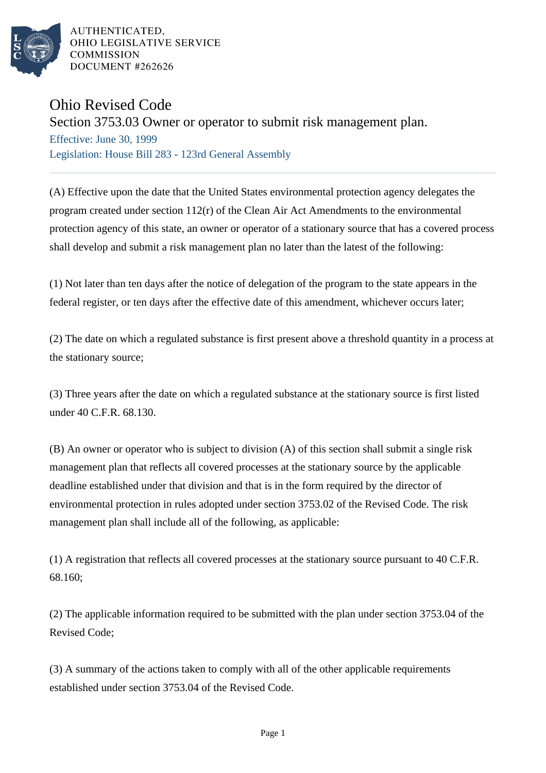

AUTHENTICATED. OHIO LEGISLATIVE SERVICE **COMMISSION** DOCUMENT #262626

## Ohio Revised Code

## Section 3753.03 Owner or operator to submit risk management plan.

Effective: June 30, 1999 Legislation: House Bill 283 - 123rd General Assembly

(A) Effective upon the date that the United States environmental protection agency delegates the program created under section 112(r) of the Clean Air Act Amendments to the environmental protection agency of this state, an owner or operator of a stationary source that has a covered process shall develop and submit a risk management plan no later than the latest of the following:

(1) Not later than ten days after the notice of delegation of the program to the state appears in the federal register, or ten days after the effective date of this amendment, whichever occurs later;

(2) The date on which a regulated substance is first present above a threshold quantity in a process at the stationary source;

(3) Three years after the date on which a regulated substance at the stationary source is first listed under 40 C.F.R. 68.130.

(B) An owner or operator who is subject to division (A) of this section shall submit a single risk management plan that reflects all covered processes at the stationary source by the applicable deadline established under that division and that is in the form required by the director of environmental protection in rules adopted under section 3753.02 of the Revised Code. The risk management plan shall include all of the following, as applicable:

(1) A registration that reflects all covered processes at the stationary source pursuant to 40 C.F.R. 68.160;

(2) The applicable information required to be submitted with the plan under section 3753.04 of the Revised Code;

(3) A summary of the actions taken to comply with all of the other applicable requirements established under section 3753.04 of the Revised Code.